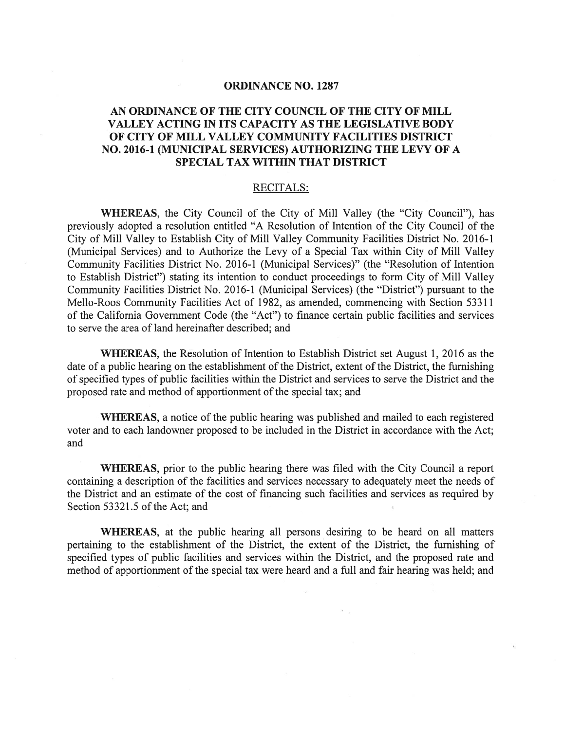## ORDINANCE NO. 1287

## AN ORDINANCE OF THE CITY COUNCIL OF THE CITY OF MILL VALLEY ACTING IN ITS CAPACITY AS THE LEGISLATIVE BODY OF CITY OF MILL VALLEY COMMUNITY FACILITIES DISTRICT NO. 2016-1 (MUNICIPAL SERVICES) AUTHORIZING THE LEVY OF A SPECIAL TAX WITHIN THAT DISTRICT

## RECITALS:

WHEREAS, the City Council of the City of Mill Valley (the "City Council"), has previously adopted <sup>a</sup> resolution entitled "A Resolution of Intention of the City Council of the City of Mill Valley to Establish City of Mill Valley Community Facilities District No. 2016-1 (Municipal Services) and to Authorize the Levy of <sup>a</sup> Special Tax within City of Mill Valley Community Facilities District No. 2016-1 (Municipal Services)" (the "Resolution of Intention to Establish District") stating its intention to conduct proceedings to form City of Mill Valley Community Facilities District No. 2016-1 (Municipal Services) (the "District") pursuan<sup>t</sup> to the Mello-Roos Community Facilities Act of 1982, as amended, commencing with Section 53311 of the California Government Code (the "Act") to finance certain public facilities and services to serve the area of land hereinafter described; and

WHEREAS, the Resolution of Intention to Establish District set August 1, 2016 as the date of a public hearing on the establishment of the District, extent of the District, the furnishing of specified types of public facilities within the District and services to serve the District and the proposed rate and method of apportionment of the special tax; and

WHEREAS, <sup>a</sup> notice of the public hearing was published and mailed to each registered voter and to each landowner proposed to be included in the District in accordance with the Act; and

WHEREAS, prior to the public hearing there was filed with the City Council <sup>a</sup> repor<sup>t</sup> containing <sup>a</sup> description of the facilities and services necessary to adequately meet the needs of the District and an estimate of the cost of financing such facilities and services as required by Section 53321.5 of the Act; and

WHEREAS, at the public hearing all persons desiring to be heard on all matters pertaining to the establishment of the District, the extent of the District, the furnishing of specified types of public facilities and services within the District, and the proposed rate and method of apportionment of the special tax were heard and a full and fair hearing was held; and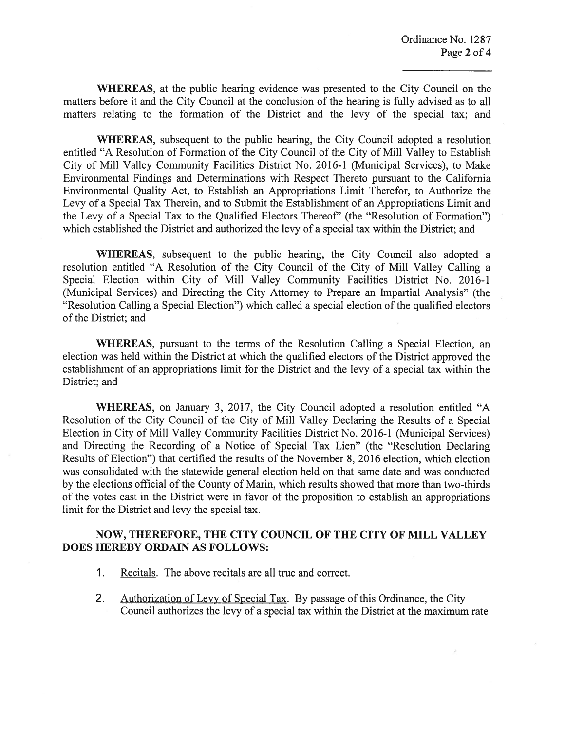WHEREAS, at the public hearing evidence was presented to the City Council on the matters before it and the City Council at the conclusion of the hearing is fully advised as to all matters relating to the formation of the District and the levy of the special tax; and

WHEREAS, subsequent to the public hearing, the City Council adopted <sup>a</sup> resolution entitled "A Resolution of Formation of the City Council of the City of Mill Valley to Establish City of Mill Valley Community Facilities District No. 2016-1 (Municipal Services), to Make Environmental Findings and Determinations with Respect Thereto pursuan<sup>t</sup> to the California Environmental Quality Act, to Establish an Appropriations Limit Therefor, to Authorize the Levy of <sup>a</sup> Special Tax Therein, and to Submit the Establishment of an Appropriations Limit and the Levy of <sup>a</sup> Special Tax to the Qualified Electors Thereof' (the "Resolution of Formation") which established the District and authorized the levy of <sup>a</sup> special tax within the District; and

WHEREAS, subsequent to the public hearing, the City Council also adopted <sup>a</sup> resolution entitled "A Resolution of the City Council of the City of Mill Valley Calling <sup>a</sup> Special Election within City of Mill Valley Community Facilities District No. 2016-1 (Municipal Services) and Directing the City Attorney to Prepare an Impartial Analysis" (the "Resolution Calling a Special Election") which called a special election of the qualified electors of the District; and

WHEREAS, pursuan<sup>t</sup> to the terms of the Resolution Calling <sup>a</sup> Special Election, an election was held within the District at which the qualified electors of the District approved the establishment of an appropriations limit for the District and the levy of <sup>a</sup> special tax within the District; and

WHEREAS, on January 3, 2017, the City Council adopted <sup>a</sup> resolution entitled "A Resolution of the City Council of the City of Mill Valley Declaring the Results of <sup>a</sup> Special Election in City of Mill Valley Community Facilities District No. 2016-1 (Municipal Services) and Directing the Recording of <sup>a</sup> Notice of Special Tax Lien" (the "Resolution Declaring Results of Election") that certified the results of the November 8, 2016 election, which election was consolidated with the statewide general election held on that same date and was conducted by the elections official of the County of Marin, which results showed that more than two-thirds of the votes cast in the District were in favor of the proposition to establish an appropriations limit for the District and levy the special tax.

## NOW, THEREFORE, THE CITY COUNCIL OF THE CITY OF MILL VALLEY DOES HEREBY ORDAIN AS FOLLOWS:

- 1. Recitals. The above recitals are all true and correct.
- 2. Authorization of Levy of Special Tax. By passage of this Ordinance, the City Council authorizes the levy of <sup>a</sup> special tax within the District at the maximum rate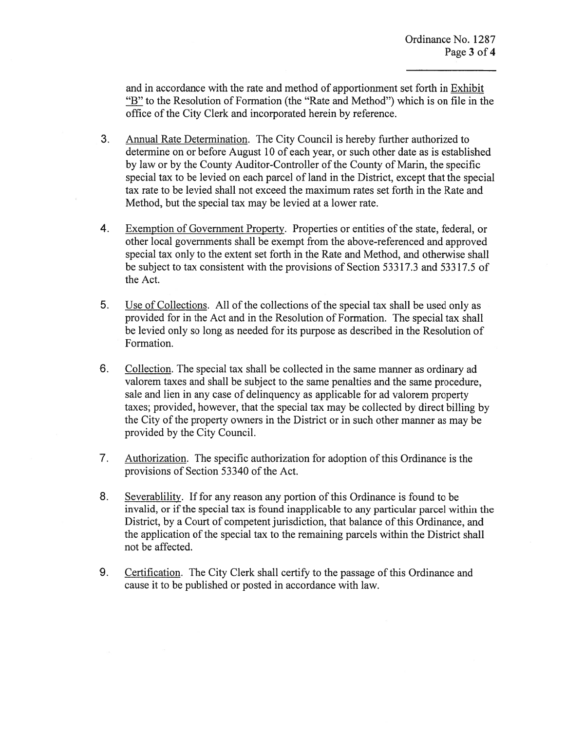and in accordance with the rate and method of apportionment set forth in Exhibit "B" to the Resolution of Formation (the "Rate and Method") which is on file in the office of the City Clerk and incorporated herein by reference.

- 3. Annual Rate Determination. The City Council is hereby further authorized to determine on or before August 10 of each year, or such other date as is established by law or by the County Auditor-Controller of the County of Marin, the specific special tax to be levied on each parcel of land in the District, except that the special tax rate to be levied shall not exceed the maximum rates set forth in the Rate and Method, but the special tax may be levied at <sup>a</sup> lower rate.
- 4. Exemption of Government Property. Properties or entities of the state, federal, or other local governments shall be exemp<sup>t</sup> from the above-referenced and approved special tax only to the extent set forth in the Rate and Method, and otherwise shall be subject to tax consistent with the provisions of Section 53317.3 and 53317.5 of the Act.
- 5. Use of Collections. All of the collections of the special tax shall be used only as provided for in the Act and in the Resolution of Formation. The special tax shall be levied only so long as needed for its purpose as described in the Resolution of Formation.
- 6. Collection. The special tax shall be collected in the same manner as ordinary ad valorem taxes and shall be subject to the same penalties and the same procedure, sale and lien in any case of delinquency as applicable for ad valorem property taxes; provided, however, that the special tax may be collected by direct billing by the City of the property owners in the District or in such other manner as may be provided by the City Council.
- 7. Authorization. The specific authorization for adoption of this Ordinance is the provisions of Section 53340 of the Act.
- 8. Severablility. If for any reason any portion of this Ordinance is found to be invalid, or if the special tax is found inapplicable to any particular parcel within the District, by a Court of competent jurisdiction, that balance of this Ordinance, and the application of the special tax to the remaining parcels within the District shall not be affected.
- 9. Certification. The City Clerk shall certify to the passage of this Ordinance and cause it to be published or posted in accordance with law.